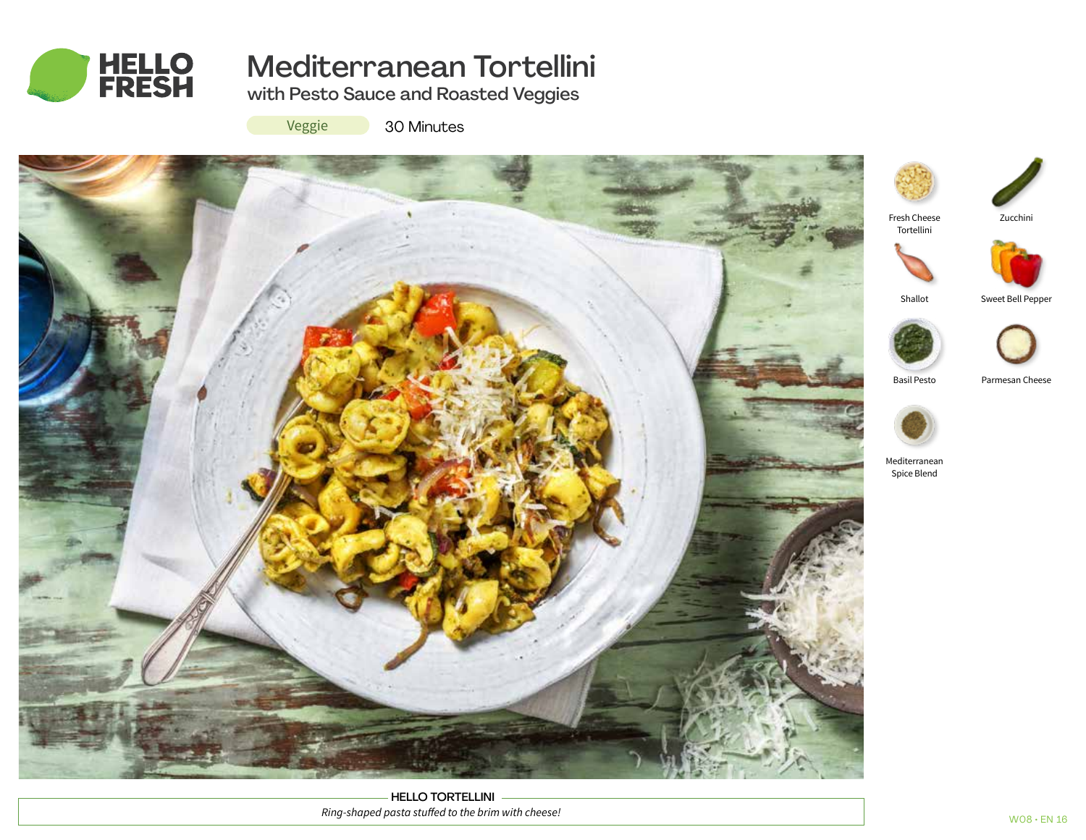

# Mediterranean Tortellini

with Pesto Sauce and Roasted Veggies

Veggie

30 Minutes



Zucchini

Fresh Cheese Tortellini









Basil Pesto Parmesan Cheese



Mediterranean Spice Blend

HELLO TORTELLINI *Ring-shaped pasta stuffed to the brim with cheese!*